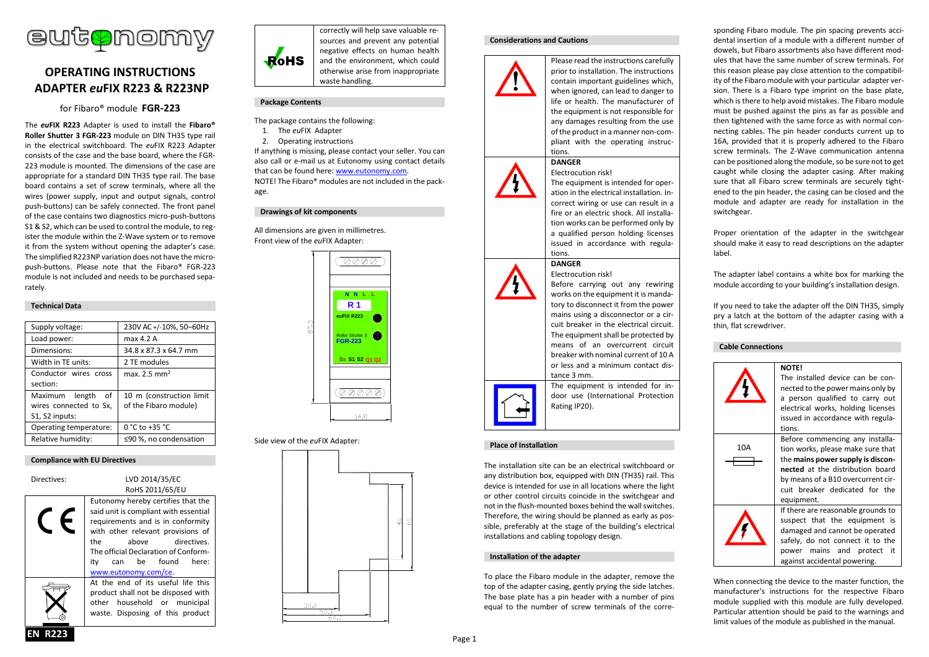

# **OPERATING INSTRUCTIONS ADAPTER** *eu***FIX R223 & R223NP**

for Fibaro® module **FGR-223**

The *eu***FIX R223** Adapter is used to install the **Fibaro® Roller Shutter 3 FGR-223** module on DIN TH35 type rail in the electrical switchboard. The *eu*FIX R223 Adapter consists of the case and the base board, where the FGR-223 module is mounted. The dimensions of the case are appropriate for a standard DIN TH35 type rail. The base board contains a set of screw terminals, where all the wires (power supply, input and output signals, control push-buttons) can be safely connected. The front panel of the case contains two diagnostics micro-push-buttons S1 & S2, which can be used to control the module, to register the module within the Z-Wave system or to remove it from the system without opening the adapter's case. The simplified R223NP variation does not have the micropush-buttons. Please note that the Fibaro® FGR-223 module is not included and needs to be purchased separately.

# **Technical Data**

| Supply voltage:        | 230V AC+/-10%, 50-60Hz   |
|------------------------|--------------------------|
| Load power:            | max 4.2 A                |
| Dimensions:            | 34.8 x 87.3 x 64.7 mm    |
| Width in TE units:     | 2 TE modules             |
| Conductor wires cross  | max. $2.5 \text{ mm}^2$  |
| section:               |                          |
| Maximum length<br>of   | 10 m (construction limit |
| wires connected to Sx, | of the Fibaro module)    |
| S1, S2 inputs:         |                          |
| Operating temperature: | $0 °C$ to +35 $°C$       |
| Relative humidity:     | ≤90 %, no condensation   |

# **Compliance with EU Directives**

| Directives: | LVD 2014/35/EC<br>RoHS 2011/65/EU                                                                                                                                                                                                                                                       |
|-------------|-----------------------------------------------------------------------------------------------------------------------------------------------------------------------------------------------------------------------------------------------------------------------------------------|
|             | Eutonomy hereby certifies that the<br>said unit is compliant with essential<br>requirements and is in conformity<br>with other relevant provisions of<br>directives.<br>above<br>the<br>The official Declaration of Conform-<br>be found<br>here:<br>itv<br>can<br>www.eutonomy.com/ce. |
|             | At the end of its useful life this<br>product shall not be disposed with<br>other household or municipal<br>waste. Disposing of this product                                                                                                                                            |



correctly will help save valuable resources and prevent any potential negative effects on human health and the environment, which could otherwise arise from inappropriate waste handling.

# **Package Contents**

The package contains the following:

- 1. The *eu*FIX Adapter
- 2. Operating instructions

If anything is missing, please contact your seller. You can also call or e-mail us at Eutonomy using contact details that can be found here: [www.eutonomy.com.](http://www.eutonomy.com/) NOTE! The Fibaro® modules are not included in the pack-

age.

# **Drawings of kit components**

All dimensions are given in millimetres. Front view of the *eu*FIX Adapter:



# Side view of the *eu*FIX Adapter:



### **Considerations and Cautions**



Please read the instructions carefully prior to installation. The instructions contain important guidelines which, when ignored, can lead to danger to life or health. The manufacturer of the equipment is not responsible for any damages resulting from the use of the product in a manner non-compliant with the operating instructions.

### **DANGER** Electrocution risk!

The equipment is intended for operation in the electrical installation. Incorrect wiring or use can result in a fire or an electric shock. All installation works can be performed only by a qualified person holding licenses issued in accordance with regulations.

Before carrying out any rewiring works on the equipment it is mandatory to disconnect it from the power mains using a disconnector or a circuit breaker in the electrical circuit. The equipment shall be protected by means of an overcurrent circuit breaker with nominal current of 10 A or less and a minimum contact dis-

The equipment is intended for indoor use (International Protection

### **DANGER** Electrocution risk!





Rating IP20).

tance 3 mm.

# **Place of Installation**

The installation site can be an electrical switchboard or any distribution box, equipped with DIN (TH35) rail. This device is intended for use in all locations where the light or other control circuits coincide in the switchgear and not in the flush-mounted boxes behind the wall switches. Therefore, the wiring should be planned as early as possible, preferably at the stage of the building's electrical installations and cabling topology design.

# **Installation of the adapter**

To place the Fibaro module in the adapter, remove the top of the adapter casing, gently prying the side latches. The base plate has a pin header with a number of pins equal to the number of screw terminals of the corresponding Fibaro module. The pin spacing prevents accidental insertion of a module with a different number of dowels, but Fibaro assortments also have different modules that have the same number of screw terminals. For this reason please pay close attention to the compatibility of the Fibaro module with your particular adapter version. There is a Fibaro type imprint on the base plate, which is there to help avoid mistakes. The Fibaro module must be pushed against the pins as far as possible and then tightened with the same force as with normal connecting cables. The pin header conducts current up to 16A, provided that it is properly adhered to the Fibaro screw terminals. The Z-Wave communication antenna can be positioned along the module, so be sure not to get caught while closing the adapter casing. After making sure that all Fibaro screw terminals are securely tightened to the pin header, the casing can be closed and the module and adapter are ready for installation in the switchgear.

Proper orientation of the adapter in the switchgear should make it easy to read descriptions on the adapter label.

The adapter label contains a white box for marking the module according to your building's installation design.

If you need to take the adapter off the DIN TH35, simply pry a latch at the bottom of the adapter casing with a thin, flat screwdriver.

# **Cable Connections**



When connecting the device to the master function, the manufacturer's instructions for the respective Fibaro module supplied with this module are fully developed. Particular attention should be paid to the warnings and limit values of the module as published in the manual.